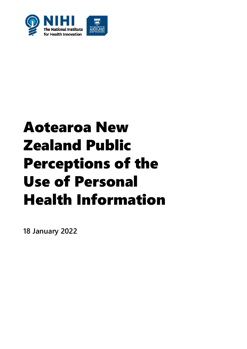

# Aotearoa New Zealand Public Perceptions of the Use of Personal Health Information

**18 January 2022**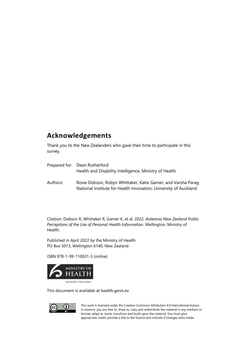#### **Acknowledgements**

Thank you to the New Zealanders who gave their time to participate in this survey.

|          | Prepared for: Dean Rutherford<br>Health and Disability Intelligence, Ministry of Health                                           |
|----------|-----------------------------------------------------------------------------------------------------------------------------------|
| Authors: | Rosie Dobson, Robyn Whittaker, Katie Garner, and Varsha Parag<br>National Institute for Health Innovation, University of Auckland |

Citation: Dobson R, Whittaker R, Garner K, et al. 2022. *Aotearoa New Zealand Public Perceptions of the Use of Personal Health Information.* Wellington: Ministry of Health.

Published in April 2022 by the Ministry of Health PO Box 5013, Wellington 6140, New Zealand

ISBN 978-1-99-110031-3 (online)



This document is available at **[health.govt.nz](http://www.health.govt.nz/)**



This work is licensed under the Creative Commons Attribution 4.0 International licence. In essence, you are free to: share ie, copy and redistribute the material in any medium or format; adapt ie, remix, transform and build upon the material. You must give appropriate credit, provide a link to the licence and indicate if changes were made.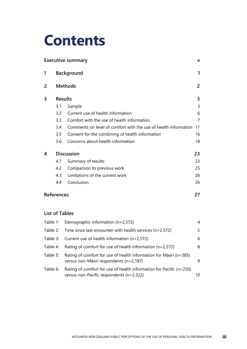# **Contents**

|   |                   | <b>Executive summary</b>                                        | $\mathbf v$    |
|---|-------------------|-----------------------------------------------------------------|----------------|
| 1 |                   | <b>Background</b>                                               | 1              |
| 2 |                   | <b>Methods</b>                                                  | $\overline{2}$ |
| 3 | <b>Results</b>    |                                                                 | 3              |
|   | 3.1               | Sample                                                          | 3              |
|   | 3.2               | Current use of health information                               | 6              |
|   | 3.3               | Comfort with the use of health information                      | 7              |
|   | 3.4               | Comments on level of comfort with the use of health information | 11             |
|   | 3.5               | Consent for the combining of health information                 | 16             |
|   | 3.6               | Concerns about health information                               | 18             |
| 4 |                   | <b>Discussion</b>                                               | 23             |
|   | 4.1               | Summary of results                                              | 23             |
|   | 4.2               | Comparison to previous work                                     | 25             |
|   | 4.3               | Limitations of the current work                                 | 26             |
|   | 4.4               | Conclusion                                                      | 26             |
|   | <b>References</b> |                                                                 | 27             |

#### **List of Tables**

|            | Table 1: Demographic information $(n=2,572)$                                                                          | 4  |
|------------|-----------------------------------------------------------------------------------------------------------------------|----|
| Table $2:$ | Time since last encounter with health services ( $n=2,572$ )                                                          | 5. |
| Table 3:   | Current use of health information ( $n=2,572$ )                                                                       | 6  |
| Table 4:   | Rating of comfort for use of health information ( $n=2,572$ )                                                         | 8  |
| Table 5:   | Rating of comfort for use of health information for Māori (n=385)<br>versus non-Māori respondents (n=2,187)           | 9  |
| Table 6:   | Rating of comfort for use of health information for Pacific $(n=250)$<br>versus non-Pacific respondents ( $n=2,322$ ) | 10 |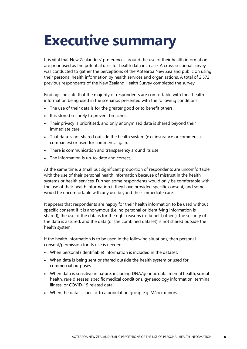## <span id="page-4-0"></span>**Executive summary**

It is vital that New Zealanders' preferences around the use of their health information are prioritised as the potential uses for health data increase. A cross-sectional survey was conducted to gather the perceptions of the Aotearoa New Zealand public on using their personal health information by health services and organisations. A total of 2,572 previous respondents of the New Zealand Health Survey completed the survey.

Findings indicate that the majority of respondents are comfortable with their health information being used in the scenarios presented with the following conditions:

- The use of their data is for the greater good or to benefit others.
- It is stored securely to prevent breaches.
- Their privacy is prioritised, and only anonymised data is shared beyond their immediate care.
- That data is not shared outside the health system (e.g. insurance or commercial companies) or used for commercial gain.
- There is communication and transparency around its use.
- The information is up-to-date and correct.

At the same time, a small but significant proportion of respondents are uncomfortable with the use of their personal health information because of mistrust in the health systems or health services. Further, some respondents would only be comfortable with the use of their health information if they have provided specific consent, and some would be uncomfortable with any use beyond their immediate care.

It appears that respondents are happy for their health information to be used without specific consent if it is anonymous (i.e. no personal or identifying information is shared), the use of the data is for the right reasons (to benefit others), the security of the data is assured, and the data (or the combined dataset) is not shared outside the health system.

If the health information is to be used in the following situations, then personal consent/permission for its use is needed:

- When personal (identifiable) information is included in the dataset.
- When data is being sent or shared outside the health system or used for commercial purposes.
- When data is sensitive in nature, including DNA/genetic data, mental health, sexual health, rare diseases, specific medical conditions, gynaecology information, terminal illness, or COVID-19 related data.
- When the data is specific to a population group e.g. Māori, minors.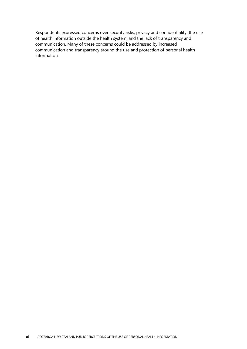Respondents expressed concerns over security risks, privacy and confidentiality, the use of health information outside the health system, and the lack of transparency and communication. Many of these concerns could be addressed by increased communication and transparency around the use and protection of personal health information.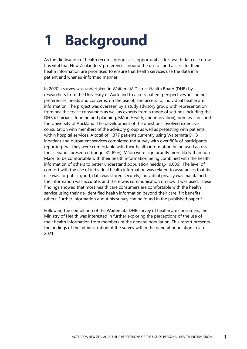# <span id="page-6-0"></span>**1 Background**

As the digitisation of health records progresses, opportunities for health data use grow. It is vital that New Zealanders' preferences around the use of, and access to, their health information are prioritised to ensure that health services use the data in a patient and whānau-informed manner.

In 2020 a survey was undertaken in Waitematā District Health Board (DHB) by researchers from the University of Auckland to assess patient perspectives, including preferences, needs and concerns, on the use of, and access to, individual healthcare information. The project was overseen by a study advisory group with representation from health service consumers as well as experts from a range of settings including the DHB (clinicians, funding and planning, Māori Health, and innovation), primary care, and the University of Auckland. The development of the questions involved extensive consultation with members of the advisory group as well as pretesting with patients within hospital services. A total of 1,377 patients currently using Waitematā DHB inpatient and outpatient services completed the survey with over 80% of participants reporting that they were comfortable with their health information being used across the scenarios presented (range: 81-89%). Māori were significantly more likely than non-Māori to be comfortable with their health information being combined with the health information of others to better understand population needs (*p*=0.006). The level of comfort with the use of individual health information was related to assurances that its use was for public good, data was stored securely, individual privacy was maintained, the information was accurate, and there was communication on how it was used. These findings showed that most health care consumers are comfortable with the health service using their de-identified health information beyond their care if it benefits others. Further information about his survey can be found in the published paper.<sup>1</sup>

Following the completion of the Waitematā DHB survey of healthcare consumers, the Ministry of Health was interested in further exploring the perceptions of the use of their health information from members of the general population. This report presents the findings of the administration of the survey within the general population in late 2021.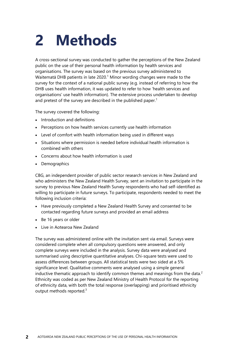# <span id="page-7-0"></span>**2 Methods**

A cross-sectional survey was conducted to gather the perceptions of the New Zealand public on the use of their personal health information by health services and organisations. The survey was based on the previous survey administered to Waitematā DHB patients in late 2020.<sup>1</sup> Minor wording changes were made to the survey for the context of a national public survey (e.g. instead of referring to how the DHB uses health information, it was updated to refer to how 'health services and organisations' use health information). The extensive process undertaken to develop and pretest of the survey are described in the published paper.<sup>1</sup>

The survey covered the following:

- Introduction and definitions
- Perceptions on how health services currently use health information
- Level of comfort with health information being used in different ways
- Situations where permission is needed before individual health information is combined with others
- Concerns about how health information is used
- **Demographics**

CBG, an independent provider of public sector research services in New Zealand and who administers the New Zealand Health Survey, sent an invitation to participate in the survey to previous New Zealand Health Survey respondents who had self-identified as willing to participate in future surveys. To participate, respondents needed to meet the following inclusion criteria:

- Have previously completed a New Zealand Health Survey and consented to be contacted regarding future surveys and provided an email address
- Be 16 years or older
- Live in Aotearoa New Zealand

The survey was administered online with the invitation sent via email. Surveys were considered complete when all compulsory questions were answered, and only complete surveys were included in the analysis. Survey data were analysed and summarised using descriptive quantitative analyses. Chi-square tests were used to assess differences between groups. All statistical tests were two sided at a 5% significance level. Qualitative comments were analysed using a simple general inductive thematic approach to identify common themes and meanings from the data.<sup>2</sup> Ethnicity was coded as per New Zealand Ministry of Health Protocol for the reporting of ethnicity data, with both the total response (overlapping) and prioritised ethnicity output methods reported.<sup>3</sup>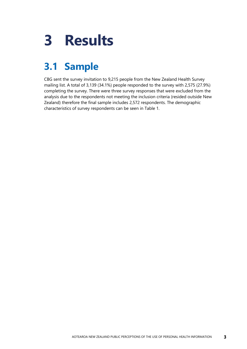# <span id="page-8-0"></span>**3 Results**

## <span id="page-8-1"></span>**3.1 Sample**

CBG sent the survey invitation to 9,215 people from the New Zealand Health Survey mailing list. A total of 3,139 (34.1%) people responded to the survey with 2,575 (27.9%) completing the survey. There were three survey responses that were excluded from the analysis due to the respondents not meeting the inclusion criteria (resided outside New Zealand) therefore the final sample includes 2,572 respondents. The demographic characteristics of survey respondents can be seen in [Table](#page-9-0) 1.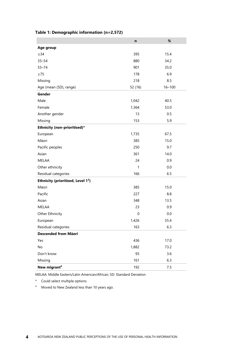|                                   | n            | $\%$       |
|-----------------------------------|--------------|------------|
| Age group                         |              |            |
| $\leq$ 34                         | 395          | 15.4       |
| $35 - 54$                         | 880          | 34.2       |
| $55 - 74$                         | 901          | 35.0       |
| $\geq 75$                         | 178          | 6.9        |
| Missing                           | 218          | 8.5        |
| Age (mean (SD), range)            | 52 (16)      | $16 - 100$ |
| Gender                            |              |            |
| Male                              | 1,042        | 40.5       |
| Female                            | 1,364        | 53.0       |
| Another gender                    | 13           | 0.5        |
| Missing                           | 153          | 5.9        |
| Ethnicity (non-prioritised)*      |              |            |
| European                          | 1,735        | 67.5       |
| Māori                             | 385          | 15.0       |
| Pacific peoples                   | 250          | 9.7        |
| Asian                             | 361          | 14.0       |
| MELAA                             | 24           | 0.9        |
| Other ethnicity                   | $\mathbf{1}$ | 0.0        |
| Residual categories               | 166          | 6.5        |
| Ethnicity (prioritised, Level 13) |              |            |
| Māori                             | 385          | 15.0       |
| Pacific                           | 227          | 8.8        |
| Asian                             | 348          | 13.5       |
| MELAA                             | 23           | 0.9        |
| Other Ethnicity                   | 0            | 0.0        |
| European                          | 1,426        | 55.4       |
| Residual categories               | 163          | 6.3        |
| Descended from Māori              |              |            |
| Yes                               | 436          | 17.0       |
| No                                | 1,882        | 73.2       |
| Don't know                        | 93           | 3.6        |
| Missing                           | 161          | 6.3        |
| New migrant <sup>#</sup>          | 192          | 7.5        |

#### <span id="page-9-0"></span>**Table 1: Demographic information (n=2,572)**

MELAA: Middle Eastern/Latin American/African; SD: Standard Deviation

\* Could select multiple options

# Moved to New Zealand less than 10 years ago.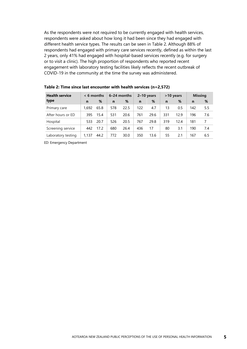As the respondents were not required to be currently engaged with health services, respondents were asked about how long it had been since they had engaged with different health service types. The results can be seen in [Table](#page-10-0) 2. Although 88% of respondents had engaged with primary care services recently, defined as within the last 2 years, only 41% had engaged with hospital-based services recently (e.g. for surgery or to visit a clinic). The high proportion of respondents who reported recent engagement with laboratory testing facilities likely reflects the recent outbreak of COVID-19 in the community at the time the survey was administered.

| <b>Health service</b> | $< 6$ months |      |             | 6-24 months |             | $2-10$ years |     | >10 years | <b>Missing</b> |     |  |
|-----------------------|--------------|------|-------------|-------------|-------------|--------------|-----|-----------|----------------|-----|--|
| type                  | n            | %    | $\mathbf n$ | %           | $\mathbf n$ | %            | n   | %         | $\mathbf n$    | %   |  |
| Primary care          | 1.692        | 65.8 | 578         | 22.5        | 122         | 4.7          | 13  | 0.5       | 142            | 5.5 |  |
| After hours or ED     | 395          | 15.4 | 531         | 20.6        | 761         | 29.6         | 331 | 12.9      | 196            | 7.6 |  |
| Hospital              | 533          | 20.7 | 526         | 20.5        | 767         | 29.8         | 319 | 12.4      | 181            | 7   |  |
| Screening service     | 442          | 17.2 | 680         | 26.4        | 436         | 17           | 80  | 3.1       | 190            | 7.4 |  |
| Laboratory testing    | 1,137        | 44.2 | 772         | 30.0        | 350         | 13.6         | 55  | 2.1       | 167            | 6.5 |  |

<span id="page-10-0"></span>**Table 2: Time since last encounter with health services (n=2,572)**

ED: Emergency Department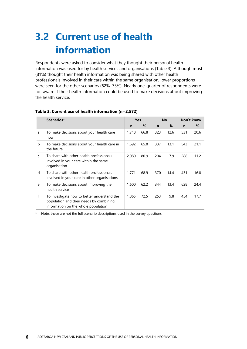## <span id="page-11-0"></span>**3.2 Current use of health information**

Respondents were asked to consider what they thought their personal health information was used for by health services and organisations [\(Table](#page-11-1) 3). Although most (81%) thought their health information was being shared with other health professionals involved in their care within the same organisation, lower proportions were seen for the other scenarios (62%–73%). Nearly one-quarter of respondents were not aware if their health information could be used to make decisions about improving the health service.

|   | Scenarios*                                                                                                                    |       | Yes  |     | <b>No</b> | Don't know |      |  |
|---|-------------------------------------------------------------------------------------------------------------------------------|-------|------|-----|-----------|------------|------|--|
|   |                                                                                                                               | n     | %    | n   | %         | n          | %    |  |
| a | To make decisions about your health care<br>now                                                                               | 1,718 | 66.8 | 323 | 12.6      | 531        | 20.6 |  |
| b | To make decisions about your health care in<br>the future                                                                     | 1,692 | 65.8 | 337 | 13.1      | 543        | 21.1 |  |
| C | To share with other health professionals<br>involved in your care within the same<br>organisation                             | 2,080 | 80.9 | 204 | 7.9       | 288        | 11.2 |  |
| d | To share with other health professionals<br>involved in your care in other organisations                                      | 1,771 | 68.9 | 370 | 14.4      | 431        | 16.8 |  |
| e | To make decisions about improving the<br>health service                                                                       | 1,600 | 62.2 | 344 | 13.4      | 628        | 24.4 |  |
| f | To investigate how to better understand the<br>population and their needs by combining<br>information on the whole population | 1,865 | 72.5 | 253 | 9.8       | 454        | 17.7 |  |

#### <span id="page-11-1"></span>**Table 3: Current use of health information (n=2,572)**

Note, these are not the full scenario descriptions used in the survey questions.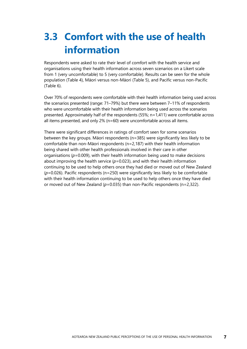## <span id="page-12-0"></span>**3.3 Comfort with the use of health information**

Respondents were asked to rate their level of comfort with the health service and organisations using their health information across seven scenarios on a Likert scale from 1 (very uncomfortable) to 5 (very comfortable). Results can be seen for the whole population [\(Table](#page-13-0) 4), Māori versus non-Māori [\(Table](#page-14-0) 5), and Pacific versus non-Pacific [\(Table](#page-15-0) 6).

Over 70% of respondents were comfortable with their health information being used across the scenarios presented (range: 71–79%) but there were between 7–11% of respondents who were uncomfortable with their health information being used across the scenarios presented. Approximately half of the respondents (55%; n=1,411) were comfortable across all items presented, and only 2% (n=60) were uncomfortable across all items.

There were significant differences in ratings of comfort seen for some scenarios between the key groups. Māori respondents (n=385) were significantly less likely to be comfortable than non-Māori respondents (n=2,187) with their health information being shared with other health professionals involved in their care in other organisations (*p*=0.009), with their health information being used to make decisions about improving the health service  $(p=0.023)$ , and with their health information continuing to be used to help others once they had died or moved out of New Zealand (*p*=0.026). Pacific respondents (n=250) were significantly less likely to be comfortable with their health information continuing to be used to help others once they have died or moved out of New Zealand (*p*=0.035) than non-Pacific respondents (n=2,322).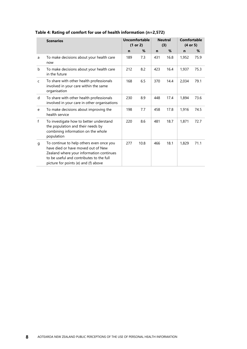|   | <b>Scenarios</b>                                                                                                                                                                                               |     | <b>Uncomfortable</b><br>(1 or 2) |             | <b>Neutral</b><br>(3) | Comfortable<br>$(4$ or 5) |      |  |
|---|----------------------------------------------------------------------------------------------------------------------------------------------------------------------------------------------------------------|-----|----------------------------------|-------------|-----------------------|---------------------------|------|--|
|   |                                                                                                                                                                                                                | n   | %                                | $\mathbf n$ | %                     | n                         | %    |  |
| a | To make decisions about your health care<br>now                                                                                                                                                                | 189 | 7.3                              | 431         | 16.8                  | 1,952                     | 75.9 |  |
| b | To make decisions about your health care<br>in the future                                                                                                                                                      | 212 | 8.2                              | 423         | 16.4                  | 1,937                     | 75.3 |  |
| C | To share with other health professionals<br>involved in your care within the same<br>organisation                                                                                                              | 168 | 6.5                              | 370         | 14.4                  | 2,034                     | 79.1 |  |
| d | To share with other health professionals<br>involved in your care in other organisations                                                                                                                       | 230 | 8.9                              | 448         | 17.4                  | 1,894                     | 73.6 |  |
| e | To make decisions about improving the<br>health service                                                                                                                                                        | 198 | 7.7                              | 458         | 17.8                  | 1,916                     | 74.5 |  |
| f | To investigate how to better understand<br>the population and their needs by<br>combining information on the whole<br>population                                                                               | 220 | 8.6                              | 481         | 18.7                  | 1,871                     | 72.7 |  |
| g | To continue to help others even once you<br>have died or have moved out of New<br>Zealand where your information continues<br>to be useful and contributes to the full<br>picture for points (e) and (f) above | 277 | 10.8                             | 466         | 18.1                  | 1,829                     | 71.1 |  |

#### <span id="page-13-0"></span>**Table 4: Rating of comfort for use of health information (n=2,572)**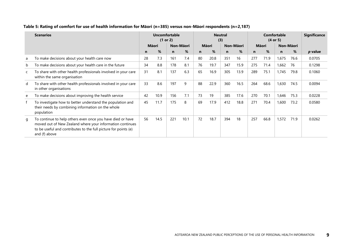<span id="page-14-0"></span>

|   | <b>Scenarios</b>                                                                                                                                                                                            |    |       | Uncomfortable<br>(1 or 2) |      | <b>Neutral</b><br>(3) |      |           |      | Comfortable<br>(4 or 5) |      |           |      | <b>Significance</b> |
|---|-------------------------------------------------------------------------------------------------------------------------------------------------------------------------------------------------------------|----|-------|---------------------------|------|-----------------------|------|-----------|------|-------------------------|------|-----------|------|---------------------|
|   |                                                                                                                                                                                                             |    | Māori | Non-Māori                 |      | <b>Māori</b>          |      | Non-Māori |      | <b>M</b> āori           |      | Non-Māori |      |                     |
|   |                                                                                                                                                                                                             | n  | %     | $\mathbf n$               | %    | $\mathbf n$           | %    | n         | %    | n                       | %    | n         | %    | p value             |
| a | To make decisions about your health care now                                                                                                                                                                | 28 | 7.3   | 161                       | 7.4  | 80                    | 20.8 | 351       | 16   | 277                     | 71.9 | 1,675     | 76.6 | 0.0705              |
| b | To make decisions about your health care in the future                                                                                                                                                      | 34 | 8.8   | 178                       | 8.1  | 76                    | 19.7 | 347       | 15.9 | 275                     | 71.4 | 1,662     | 76   | 0.1298              |
| C | To share with other health professionals involved in your care<br>within the same organisation                                                                                                              | 31 | 8.1   | 137                       | 6.3  | 65                    | 16.9 | 305       | 13.9 | 289                     | 75.1 | 1,745     | 79.8 | 0.1060              |
| d | To share with other health professionals involved in your care<br>in other organisations                                                                                                                    | 33 | 8.6   | 197                       | 9    | 88                    | 22.9 | 360       | 16.5 | 264                     | 68.6 | 1,630     | 74.5 | 0.0094              |
| e | To make decisions about improving the health service                                                                                                                                                        | 42 | 10.9  | 156                       | 7.1  | 73                    | 19   | 385       | 17.6 | 270                     | 70.1 | 1,646     | 75.3 | 0.0228              |
|   | To investigate how to better understand the population and<br>their needs by combining information on the whole<br>population                                                                               | 45 | 11.7  | 175                       | 8    | 69                    | 17.9 | 412       | 18.8 | 271                     | 70.4 | 1,600     | 73.2 | 0.0580              |
| q | To continue to help others even once you have died or have<br>moved out of New Zealand where your information continues<br>to be useful and contributes to the full picture for points (e)<br>and (f) above | 56 | 14.5  | 221                       | 10.1 | 72                    | 18.7 | 394       | 18   | 257                     | 66.8 | 1,572     | 71.9 | 0.0262              |

#### **Table 5: Rating of comfort for use of health information for Māori (n=385) versus non-Māori respondents (n=2,187)**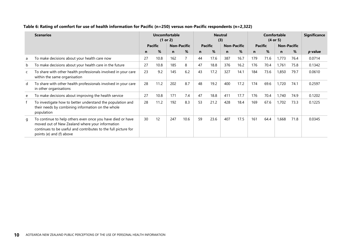<span id="page-15-0"></span>

|   | <b>Scenarios</b>                                                                                                                                                                                            |    |                | Uncomfortable<br>(1 or 2) |                    | <b>Neutral</b><br>(3) |                |     |                    | Comfortable<br>(4 or 5) |      |                    |      | <b>Significance</b> |
|---|-------------------------------------------------------------------------------------------------------------------------------------------------------------------------------------------------------------|----|----------------|---------------------------|--------------------|-----------------------|----------------|-----|--------------------|-------------------------|------|--------------------|------|---------------------|
|   |                                                                                                                                                                                                             |    | <b>Pacific</b> |                           | <b>Non-Pacific</b> |                       | <b>Pacific</b> |     | <b>Non-Pacific</b> | <b>Pacific</b>          |      | <b>Non-Pacific</b> |      |                     |
|   |                                                                                                                                                                                                             | n  | %              | n                         | %                  | n                     | %              | n   | %                  | n                       | %    | n                  | %    | p value             |
| a | To make decisions about your health care now                                                                                                                                                                | 27 | 10.8           | 162                       |                    | 44                    | 17.6           | 387 | 16.7               | 179                     | 71.6 | 1,773              | 76.4 | 0.0714              |
| b | To make decisions about your health care in the future                                                                                                                                                      | 27 | 10.8           | 185                       | 8                  | 47                    | 18.8           | 376 | 16.2               | 176                     | 70.4 | 1,761              | 75.8 | 0.1342              |
|   | To share with other health professionals involved in your care<br>within the same organisation                                                                                                              | 23 | 9.2            | 145                       | 6.2                | 43                    | 17.2           | 327 | 14.1               | 184                     | 73.6 | 1,850              | 79.7 | 0.0610              |
| d | To share with other health professionals involved in your care<br>in other organisations                                                                                                                    | 28 | 11.2           | 202                       | 8.7                | 48                    | 19.2           | 400 | 17.2               | 174                     | 69.6 | 1,720              | 74.1 | 0.2597              |
| e | To make decisions about improving the health service                                                                                                                                                        | 27 | 10.8           | 171                       | 7.4                | 47                    | 18.8           | 411 | 17.7               | 176                     | 70.4 | 1,740              | 74.9 | 0.1202              |
|   | To investigate how to better understand the population and<br>their needs by combining information on the whole<br>population                                                                               | 28 | 11.2           | 192                       | 8.3                | 53                    | 21.2           | 428 | 18.4               | 169                     | 67.6 | 1,702              | 73.3 | 0.1225              |
| q | To continue to help others even once you have died or have<br>moved out of New Zealand where your information<br>continues to be useful and contributes to the full picture for<br>points (e) and (f) above | 30 | 12             | 247                       | 10.6               | 59                    | 23.6           | 407 | 17.5               | 161                     | 64.4 | 1,668              | 71.8 | 0.0345              |

#### **Table 6: Rating of comfort for use of health information for Pacific (n=250) versus non-Pacific respondents (n=2,322)**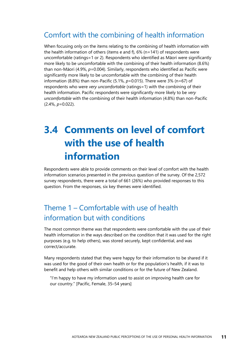#### Comfort with the combining of health information

When focusing only on the items relating to the combining of health information with the health information of others (items e and f), 6% (n=141) of respondents were uncomfortable (ratings=1 or 2). Respondents who identified as Māori were significantly more likely to be uncomfortable with the combining of their health information (8.6%) than non-Māori (4.9%,  $p=0.004$ ). Similarly, respondents who identified as Pacific were significantly more likely to be uncomfortable with the combining of their health information (8.8%) than non-Pacific (5.1%, *p*=0.015). There were 3% (n=67) of respondents who were *very uncomfortable* (ratings=1) with the combining of their health information. Pacific respondents were significantly more likely to be *very uncomfortable* with the combining of their health information (4.8%) than non-Pacific (2.4%, *p*=0.022).

## <span id="page-16-0"></span>**3.4 Comments on level of comfort with the use of health information**

Respondents were able to provide comments on their level of comfort with the health information scenarios presented in the previous question of the survey. Of the 2,572 survey respondents, there were a total of 661 (26%) who provided responses to this question. From the responses, six key themes were identified.

### Theme 1 – Comfortable with use of health information but with conditions

The most common theme was that respondents were comfortable with the use of their health information in the ways described on the condition that it was used for the right purposes (e.g. to help others), was stored securely, kept confidential, and was correct/accurate.

Many respondents stated that they were happy for their information to be shared if it was used for the good of their own health or for the population's health, if it was to benefit and help others with similar conditions or for the future of New Zealand.

"I'm happy to have my information used to assist on improving health care for our country." [Pacific, Female, 35–54 years]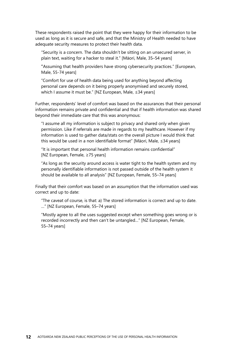These respondents raised the point that they were happy for their information to be used as long as it is secure and safe, and that the Ministry of Health needed to have adequate security measures to protect their health data.

"Security is a concern. The data shouldn't be sitting on an unsecured server, in plain text, waiting for a hacker to steal it." [Māori, Male, 35–54 years]

"Assuming that health providers have strong cybersecurity practices." [European, Male, 55-74 years]

"Comfort for use of health data being used for anything beyond affecting personal care depends on it being properly anonymised and securely stored, which I assume it must be." [NZ European, Male, ≤34 years]

Further, respondents' level of comfort was based on the assurances that their personal information remains private and confidential and that if health information was shared beyond their immediate care that this was anonymous:

"I assume all my information is subject to privacy and shared only when given permission. Like if referrals are made in regards to my healthcare. However if my information is used to gather data/stats on the overall picture I would think that this would be used in a non identifiable format" [Māori, Male, ≤34 years]

"It is important that personal health information remains confidential" [NZ European, Female, ≥75 years]

"As long as the security around access is water tight to the health system and my personally identifiable information is not passed outside of the health system it should be available to all analysis" [NZ European, Female, 55–74 years]

Finally that their comfort was based on an assumption that the information used was correct and up to date:

"The caveat of course, is that: a) The stored information is correct and up to date. …" [NZ European, Female, 55–74 years]

"Mostly agree to all the uses suggested except when something goes wrong or is recorded incorrectly and then can't be untangled…" [NZ European, Female, 55–74 years]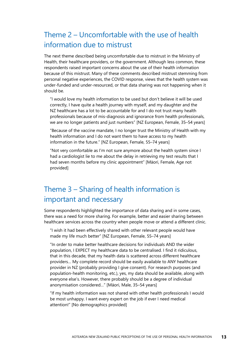#### Theme 2 – Uncomfortable with the use of health information due to mistrust

The next theme described being uncomfortable due to mistrust in the Ministry of Health, their healthcare providers, or the government. Although less common, these respondents raised important concerns about the use of their health information because of this mistrust. Many of these comments described mistrust stemming from personal negative experiences, the COVID response, views that the health system was under-funded and under-resourced, or that data sharing was not happening when it should be.

"I would love my health information to be used but don't believe it will be used correctly, I have quite a health journey with myself, and my daughter and the NZ healthcare has a lot to be accountable for and I do not trust many health professionals because of mis-diagnosis and ignorance from health professionals, we are no longer patients and just numbers" [NZ European, Female, 35–54 years]

"Because of the vaccine mandate, I no longer trust the Ministry of Health with my health information and I do not want them to have access to my health information in the future." [NZ European, Female, 55–74 years]

"Not very comfortable as I'm not sure anymore about the health system since I had a cardiologist lie to me about the delay in retrieving my test results that I had seven months before my clinic appointment" [Māori, Female, Age not provided]

### Theme 3 – Sharing of health information is important and necessary

Some respondents highlighted the importance of data sharing and in some cases, there was a need for more sharing. For example, better and easier sharing between healthcare services across the country when people move or attend a different clinic.

"I wish it had been effectively shared with other relevant people would have made my life much better" [NZ European, Female, 55–74 years]

"In order to make better healthcare decisions for individuals AND the wider population, I EXPECT my healthcare data to be centralised. I find it ridiculous, that in this decade, that my health data is scattered across different healthcare providers… My complete record should be easily available to ANY healthcare provider in NZ (probably providing I give consent). For research purposes (and population-health monitoring, etc.), yes, my data should be available, along with everyone else's. However, there probably should be a degree of individual anonymisation considered…" [Māori, Male, 35–54 years]

"If my health information was not shared with other health professionals I would be most unhappy. I want every expert on the job if ever I need medical attention!" [No demographics provided]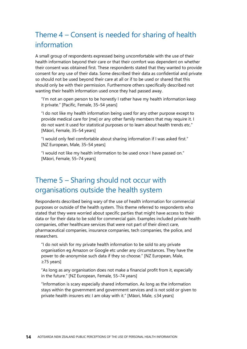### Theme 4 – Consent is needed for sharing of health information

A small group of respondents expressed being uncomfortable with the use of their health information beyond their care or that their comfort was dependent on whether their consent was obtained first. These respondents stated that they wanted to provide consent for any use of their data. Some described their data as confidential and private so should not be used beyond their care at all or if to be used or shared that this should only be with their permission. Furthermore others specifically described not wanting their health information used once they had passed away.

"I'm not an open person to be honestly I rather have my health information keep it private." [Pacific, Female, 35–54 years]

"I do not like my health information being used for any other purpose except to provide medical care for [me] or any other family members that may require it. I do not want it used for statistical purposes or to learn about health trends etc." [Māori, Female, 35–54 years]

"I would only feel comfortable about sharing information if I was asked first." [NZ European, Male, 35–54 years]

"I would not like my health information to be used once I have passed on." [Māori, Female, 55–74 years]

#### Theme 5 – Sharing should not occur with organisations outside the health system

Respondents described being wary of the use of health information for commercial purposes or outside of the health system. This theme referred to respondents who stated that they were worried about specific parties that might have access to their data or for their data to be sold for commercial gain. Examples included private health companies, other healthcare services that were not part of their direct care, pharmaceutical companies, insurance companies, tech companies, the police, and researchers.

"I do not wish for my private health information to be sold to any private organisation eg Amazon or Google etc under any circumstances. They have the power to de-anonymise such data if they so choose." [NZ European, Male, ≥75 years]

"As long as any organisation does not make a financial profit from it, especially in the future." [NZ European, Female, 55–74 years]

"Information is scary especially shared information. As long as the information stays within the government and government services and is not sold or given to private health insurers etc I am okay with it." [Māori, Male, ≤34 years]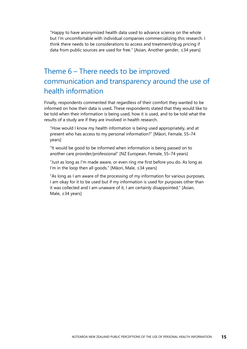"Happy to have anonymized health data used to advance science on the whole but I'm uncomfortable with individual companies commercializing this research. I think there needs to be considerations to access and treatment/drug pricing if data from public sources are used for free." [Asian, Another gender, ≤34 years]

### Theme 6 – There needs to be improved communication and transparency around the use of health information

Finally, respondents commented that regardless of their comfort they wanted to be informed on how their data is used**.** These respondents stated that they would like to be told when their information is being used, how it is used, and to be told what the results of a study are if they are involved in health research.

"How would I know my health information is being used appropriately, and at present who has access to my personal information?" [Māori, Female, 55–74 years]

"It would be good to be informed when information is being passed on to another care provider/professional" [NZ European, Female, 55–74 years]

"Just as long as I'm made aware, or even ring me first before you do. As long as I'm in the loop then all goods." [Māori, Male, ≤34 years]

"As long as I am aware of the processing of my information for various purposes, I am okay for it to be used but if my information is used for purposes other than it was collected and I am unaware of it, I am certainly disappointed." [Asian, Male, ≤34 years]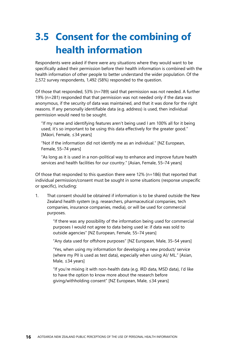## <span id="page-21-0"></span>**3.5 Consent for the combining of health information**

Respondents were asked if there were any situations where they would want to be specifically asked their permission before their health information is combined with the health information of other people to better understand the wider population. Of the 2,572 survey respondents, 1,492 (58%) responded to the question.

Of those that responded, 53% (n=789) said that permission was not needed. A further 19% (n=281) responded that that permission was not needed only if the data was anonymous, if the security of data was maintained, and that it was done for the right reasons. If any personally identifiable data (e.g. address) is used, then individual permission would need to be sought.

"If my name and identifying features aren't being used I am 100% all for it being used, it's so important to be using this data effectively for the greater good." [Māori, Female, ≤34 years]

"Not if the information did not identify me as an individual." [NZ European, Female, 55–74 years]

"As long as it is used in a non-political way to enhance and improve future health services and health facilities for our country." [Asian, Female, 55–74 years]

Of those that responded to this question there were 12% (n=186) that reported that individual permission/consent must be sought in some situations (response unspecific or specific), including:

1. That consent should be obtained if information is to be shared outside the New Zealand health system (e.g. researchers, pharmaceutical companies, tech companies, insurance companies, media), or will be used for commercial purposes.

> "If there was any possibility of the information being used for commercial purposes I would not agree to data being used ie: if data was sold to outside agencies" [NZ European, Female, 55–74 years]

"Any data used for offshore purposes" [NZ European, Male, 35–54 years]

"Yes, when using my information for developing a new product/ service (where my PII is used as test data), especially when using AI/ ML." [Asian, Male, ≤34 years]

"If you're mixing it with non-health data (e.g. IRD data, MSD data), I'd like to have the option to know more about the research before giving/withholding consent" [NZ European, Male, ≤34 years]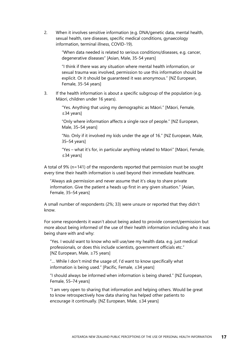2. When it involves sensitive information (e.g. DNA/genetic data, mental health, sexual health, rare diseases, specific medical conditions, gynaecology information, terminal illness, COVID-19).

> "When data needed is related to serious conditions/diseases, e.g. cancer, degenerative diseases" [Asian, Male, 35-54 years]

> "I think if there was any situation where mental health information, or sexual trauma was involved, permission to use this information should be explicit. Or it should be guaranteed it was anonymous." [NZ European, Female, 35-54 years]

3. If the health information is about a specific subgroup of the population (e.g. Māori, children under 16 years).

> "Yes. Anything that using my demographic as Māori." [Māori, Female, ≤34 years]

"Only where information affects a single race of people." [NZ European, Male, 35–54 years]

"No. Only if it involved my kids under the age of 16." [NZ European, Male, 35–54 years]

"Yes – what it's for, in particular anything related to Māori" [Māori, Female, ≤34 years]

A total of 9% (n=141) of the respondents reported that permission must be sought every time their health information is used beyond their immediate healthcare.

"Always ask permission and never assume that it's okay to share private information. Give the patient a heads up first in any given situation." [Asian, Female, 35–54 years]

A small number of respondents (2%; 33) were unsure or reported that they didn't know.

For some respondents it wasn't about being asked to provide consent/permission but more about being informed of the use of their health information including who it was being share with and why:

"Yes. I would want to know who will use/see my health data. e.g. just medical professionals, or does this include scientists, government officials etc." [NZ European, Male, ≥75 years]

"… While I don't mind the usage of, I'd want to know specifically what information is being used." [Pacific, Female, ≤34 years]

"I should always be informed when information is being shared." [NZ European, Female, 55–74 years]

"I am very open to sharing that information and helping others. Would be great to know retrospectively how data sharing has helped other patients to encourage it continually. [NZ European, Male, ≤34 years]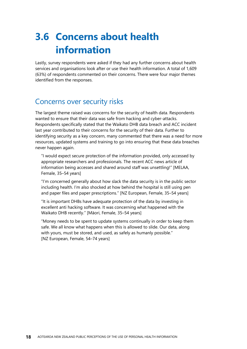## <span id="page-23-0"></span>**3.6 Concerns about health information**

Lastly, survey respondents were asked if they had any further concerns about health services and organisations look after or use their health information. A total of 1,609 (63%) of respondents commented on their concerns. There were four major themes identified from the responses.

#### Concerns over security risks

The largest theme raised was concerns for the security of health data. Respondents wanted to ensure that their data was safe from hacking and cyber-attacks. Respondents specifically stated that the Waikato DHB data breach and ACC incident last year contributed to their concerns for the security of their data. Further to identifying security as a key concern, many commented that there was a need for more resources, updated systems and training to go into ensuring that these data breaches never happen again.

"I would expect secure protection of the information provided, only accessed by appropriate researchers and professionals. The recent ACC news article of information being accesses and shared around staff was unsettling!" [MELAA, Female, 35–54 years]

"I'm concerned generally about how slack the data security is in the public sector including health. I'm also shocked at how behind the hospital is still using pen and paper files and paper prescriptions." [NZ European, Female, 35–54 years]

"It is important DHBs have adequate protection of the data by investing in excellent anti hacking software. It was concerning what happened with the Waikato DHB recently." [Māori, Female, 35–54 years]

"Money needs to be spent to update systems continually in order to keep them safe. We all know what happens when this is allowed to slide. Our data, along with yours, must be stored, and used, as safely as humanly possible." [NZ European, Female, 54–74 years]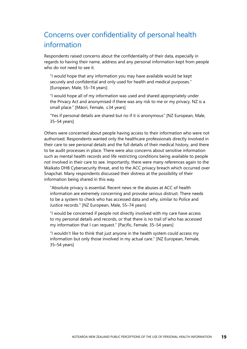### Concerns over confidentiality of personal health information

Respondents raised concerns about the confidentiality of their data, especially in regards to having their name, address and any personal information kept from people who do not need to see it.

"I would hope that any information you may have available would be kept securely and confidential and only used for health and medical purposes." [European, Male, 55–74 years]

"I would hope all of my information was used and shared appropriately under the Privacy Act and anonymised if there was any risk to me or my privacy. NZ is a small place." [Māori, Female, ≤34 years]

"Yes if personal details are shared but no if it is anonymous" [NZ European, Male, 35–54 years]

Others were concerned about people having access to their information who were not authorised. Respondents wanted only the healthcare professionals directly involved in their care to see personal details and the full details of their medical history, and there to be audit processes in place. There were also concerns about sensitive information such as mental health records and life restricting conditions being available to people not involved in their care to see. Importantly, there were many references again to the Waikato DHB Cybersecurity threat, and to the ACC privacy breach which occurred over Snapchat. Many respondents discussed their distress at the possibility of their information being shared in this way.

"Absolute privacy is essential. Recent news re the abuses at ACC of health information are extremely concerning and provoke serious distrust. There needs to be a system to check who has accessed data and why, similar to Police and Justice records." [NZ European, Male, 55–74 years]

"I would be concerned if people not directly involved with my care have access to my personal details and records, or that there is no trail of who has accessed my information that I can request." [Pacific, Female, 35–54 years]

"I wouldn't like to think that just anyone in the health system could access my information but only those involved in my actual care." [NZ European, Female, 35–54 years]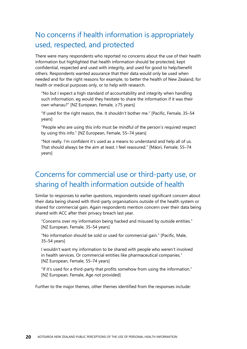### No concerns if health information is appropriately used, respected, and protected

There were many respondents who reported no concerns about the use of their health information but highlighted that health information should be protected, kept confidential, respected and used with integrity, and used for good to help/benefit others. Respondents wanted assurance that their data would only be used when needed and for the right reasons for example, to better the health of New Zealand, for health or medical purposes only, or to help with research.

"No but I expect a high standard of accountability and integrity when handling such information. eg would they hesitate to share the information if it was their own whanau?" [NZ European, Female, ≥75 years]

"If used for the right reason, the. It shouldn't bother me." [Pacific, Female, 35–54 years]

"People who are using this info must be mindful of the person's required respect by using this info." [NZ European, Female, 55–74 years]

"Not really. I'm confident it's used as a means to understand and help all of us. That should always be the aim at least. I feel reassured." [Māori, Female, 55–74 years]

#### Concerns for commercial use or third-party use, or sharing of health information outside of health

Similar to responses to earlier questions, respondents raised significant concern about their data being shared with third-party organisations outside of the health system or shared for commercial gain. Again respondents mention concern over their data being shared with ACC after their privacy breach last year.

"Concerns over my information being hacked and misused by outside entities." [NZ European, Female, 35–54 years]

"No information should be sold or used for commercial gain." [Pacific, Male, 35–54 years]

I wouldn't want my information to be shared with people who weren't involved in health services. Or commercial entities like pharmaceutical companies." [NZ European, Female, 55–74 years]

"If it's used for a third-party that profits somehow from using the information." [NZ European, Female, Age not provided]

Further to the major themes, other themes identified from the responses include: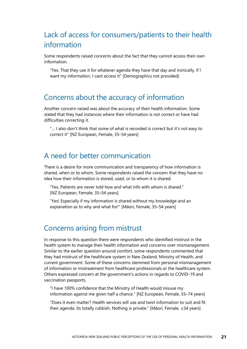### Lack of access for consumers/patients to their health information

Some respondents raised concerns about the fact that they cannot access their own information.

"Yes. That they use it for whatever agenda they have that day and ironically, if I want my information, I cant access it" [Demographics not provided]

#### Concerns about the accuracy of information

Another concern raised was about the accuracy of their health information. Some stated that they had instances where their information is not correct or have had difficulties correcting it.

"… I also don't think that some of what is recorded is correct but it's not easy to correct it" [NZ European, Female, 35–54 years]

#### A need for better communication

There is a desire for more communication and transparency of how information is shared, when or to whom. Some respondents raised the concern that they have no idea how their information is stored, used, or to whom it is shared.

"Yes. Patients are never told how and what info with whom is shared." [NZ European, Female, 35–54 years]

"Yes! Especially if my information is shared without my knowledge and an explanation as to why and what for!" [Māori, Female, 35–54 years]

#### Concerns arising from mistrust

In response to this question there were respondents who identified mistrust in the health system to manage their health information and concerns over mismanagement. Similar to the earlier question around comfort, some respondents commented that they had mistrust of the healthcare system in New Zealand, Ministry of Health, and current government. Some of these concerns stemmed from personal mismanagement of information or mistreatment from healthcare professionals or the healthcare system. Others expressed concern at the government's actions in regards to COVID-19 and vaccination passports.

"I have 100% confidence that the Ministry of Health would misuse my information against me given half a chance." [NZ European, Female, 55–74 years]

"Does it even matter? Health services will use and twist information to suit and fit their agenda. Its totally rubbish. Nothing is private." [Māori, Female, ≤34 years]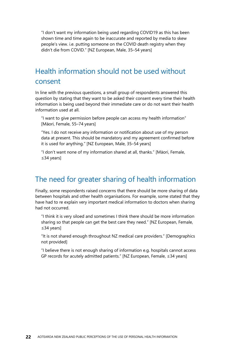"I don't want my information being used regarding COVID19 as this has been shown time and time again to be inaccurate and reported by media to skew people's view. i.e. putting someone on the COVID death registry when they didn't die from COVID." [NZ European, Male, 35–54 years]

#### Health information should not be used without consent

In line with the previous questions, a small group of respondents answered this question by stating that they want to be asked their consent every time their health information is being used beyond their immediate care or do not want their health information used at all.

"I want to give permission before people can access my health information" [Māori, Female, 55–74 years]

"Yes. I do not receive any information or notification about use of my person data at present. This should be mandatory and my agreement confirmed before it is used for anything." [NZ European, Male, 35–54 years]

"I don't want none of my information shared at all, thanks." [Māori, Female, ≤34 years]

#### The need for greater sharing of health information

Finally, some respondents raised concerns that there should be more sharing of data between hospitals and other health organisations. For example, some stated that they have had to re explain very important medical information to doctors when sharing had not occurred.

"I think it is very siloed and sometimes I think there should be more information sharing so that people can get the best care they need." [NZ European, Female, ≤34 years]

"It is not shared enough throughout NZ medical care providers." [Demographics not provided]

"I believe there is not enough sharing of information e.g. hospitals cannot access GP records for acutely admitted patients." [NZ European, Female, ≤34 years]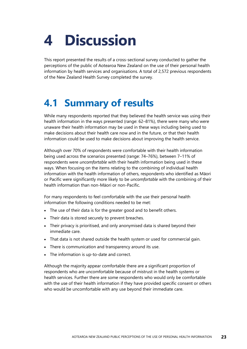# <span id="page-28-0"></span>**4 Discussion**

This report presented the results of a cross-sectional survey conducted to gather the perceptions of the public of Aotearoa New Zealand on the use of their personal health information by health services and organisations. A total of 2,572 previous respondents of the New Zealand Health Survey completed the survey.

## <span id="page-28-1"></span>**4.1 Summary of results**

While many respondents reported that they believed the health service was using their health information in the ways presented (range: 62–81%), there were many who were unaware their health information may be used in these ways including being used to make decisions about their health care now and in the future, or that their health information could be used to make decisions about improving the health service.

Although over 70% of respondents were comfortable with their health information being used across the scenarios presented (range: 74–76%), between 7–11% of respondents were *uncomfortable* with their health information being used in these ways. When focusing on the items relating to the combining of individual health information with the health information of others, respondents who identified as Māori or Pacific were significantly more likely to be *uncomfortable* with the combining of their health information than non-Māori or non-Pacific.

For many respondents to feel comfortable with the use their personal health information the following conditions needed to be met:

- The use of their data is for the greater good and to benefit others.
- Their data is stored securely to prevent breaches.
- Their privacy is prioritised, and only anonymised data is shared beyond their immediate care.
- That data is not shared outside the health system or used for commercial gain.
- There is communication and transparency around its use.
- The information is up-to-date and correct.

Although the majority appear comfortable there are a significant proportion of respondents who are uncomfortable because of mistrust in the health systems or health services. Further there are some respondents who would only be comfortable with the use of their health information if they have provided specific consent or others who would be uncomfortable with any use beyond their immediate care.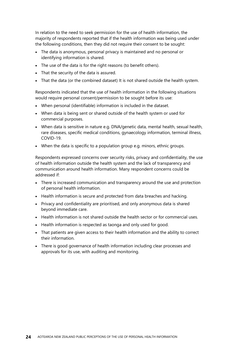In relation to the need to seek permission for the use of health information, the majority of respondents reported that if the health information was being used under the following conditions, then they did not require their consent to be sought:

- The data is anonymous, personal privacy is maintained and no personal or identifying information is shared.
- The use of the data is for the right reasons (to benefit others).
- That the security of the data is assured.
- That the data (or the combined dataset) It is not shared outside the health system.

Respondents indicated that the use of health information in the following situations would require personal consent/permission to be sought before its use:

- When personal (identifiable) information is included in the dataset.
- When data is being sent or shared outside of the health system or used for commercial purposes.
- When data is sensitive in nature e.g. DNA/genetic data, mental health, sexual health, rare diseases, specific medical conditions, gynaecology information, terminal illness, COVID-19.
- When the data is specific to a population group e.g. minors, ethnic groups.

Respondents expressed concerns over security risks, privacy and confidentiality, the use of health information outside the health system and the lack of transparency and communication around health information. Many respondent concerns could be addressed if:

- There is increased communication and transparency around the use and protection of personal health information.
- Health information is secure and protected from data breaches and hacking.
- Privacy and confidentiality are prioritised, and only anonymous data is shared beyond immediate care.
- Health information is not shared outside the health sector or for commercial uses.
- Health information is respected as taonga and only used for good.
- That patients are given access to their health information and the ability to correct their information.
- There is good governance of health information including clear processes and approvals for its use, with auditing and monitoring.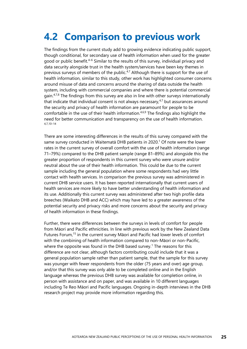## <span id="page-30-0"></span>**4.2 Comparison to previous work**

The findings from the current study add to growing evidence indicating public support, though conditional, for secondary use of health information when used for the greater good or public benefit.<sup>4–6</sup> Similar to the results of this survey, individual privacy and data security alongside trust in the health system/services have been key themes in previous surveys of members of the public. $4,7$  Although there is support for the use of health information, similar to this study, other work has highlighted consumer concerns around misuse of data and concerns around the sharing of data outside the health system, including with commercial companies and where there is potential commercial gain. $47,8$  The findings from this survey are also in line with other surveys internationally that indicate that individual consent is not always necessary, $47$  but assurances around the security and privacy of health information are paramount for people to be comfortable in the use of their health information.4,6,9 The findings also highlight the need for better communication and transparency on the use of health information. 4,7,10–14

There are some interesting differences in the results of this survey compared with the same survey conducted in Waitematā DHB patients in 2020. <sup>1</sup> Of note were the lower rates in the current survey of overall comfort with the use of health information (range 71–79%) compared to the DHB patient sample (range 81–89%) and alongside this the greater proportion of respondents in this current survey who were unsure and/or neutral about the use of their health information. This could be due to the current sample including the general population where some respondents had very little contact with health services. In comparison the previous survey was administered in current DHB service users. It has been reported internationally that current users of health services are more likely to have better understanding of health information and its use. Additionally this current survey was administered after two high profile data breeches (Waikato DHB and ACC) which may have led to a greater awareness of the potential security and privacy risks and more concerns about the security and privacy of health information in these findings.

Further, there were differences between the surveys in levels of comfort for people from Māori and Pacific ethnicities. In line with previous work by the New Zealand Data Futures Forum,<sup>15</sup> in the current survey Māori and Pacific had lower levels of comfort with the combining of health information compared to non-Māori or non-Pacific, where the opposite was found in the DHB based survey.<sup>1</sup> The reasons for this difference are not clear, although factors contributing could include that it was a general population sample rather than patient sample, that the sample for this survey was younger with fewer respondents from the older (75 years and over) age group, and/or that this survey was only able to be completed online and in the English language whereas the previous DHB survey was available for completion online, in person with assistance and on paper, and was available in 10 different languages including Te Reo Māori and Pacific languages. Ongoing in-depth interviews in the DHB research project may provide more information regarding this.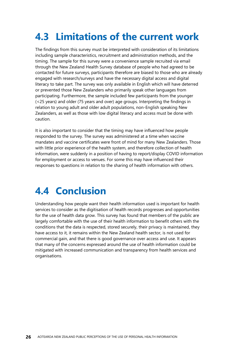## <span id="page-31-0"></span>**4.3 Limitations of the current work**

The findings from this survey must be interpreted with consideration of its limitations including sample characteristics, recruitment and administration methods, and the timing. The sample for this survey were a convenience sample recruited via email through the New Zealand Health Survey database of people who had agreed to be contacted for future surveys, participants therefore are biased to those who are already engaged with research/surveys and have the necessary digital access and digital literacy to take part. The survey was only available in English which will have deterred or prevented those New Zealanders who primarily speak other languages from participating. Furthermore, the sample included few participants from the younger (<25 years) and older (75 years and over) age groups. Interpreting the findings in relation to young adult and older adult populations, non-English speaking New Zealanders, as well as those with low digital literacy and access must be done with caution.

It is also important to consider that the timing may have influenced how people responded to the survey. The survey was administered at a time when vaccine mandates and vaccine certificates were front of mind for many New Zealanders. Those with little prior experience of the health system, and therefore collection of health information, were suddenly in a position of having to report/display COVID information for employment or access to venues. For some this may have influenced their responses to questions in relation to the sharing of health information with others.

### <span id="page-31-1"></span>**4.4 Conclusion**

Understanding how people want their health information used is important for health services to consider as the digitisation of health records progresses and opportunities for the use of health data grow. This survey has found that members of the public are largely comfortable with the use of their health information to benefit others with the conditions that the data is respected, stored securely, their privacy is maintained, they have access to it, it remains within the New Zealand health sector, is not used for commercial gain, and that there is good governance over access and use. It appears that many of the concerns expressed around the use of health information could be mitigated with increased communication and transparency from health services and organisations.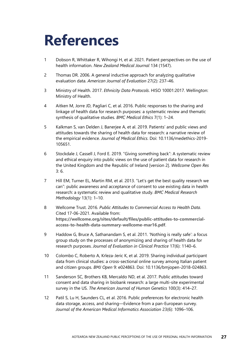# <span id="page-32-0"></span>**References**

- 1 Dobson R, Whittaker R, Wihongi H, et al. 2021. Patient perspectives on the use of health information. *New Zealand Medical Journal* 134 (1547).
- 2 Thomas DR. 2006. A general inductive approach for analyzing qualitative evaluation data. *American Journal of Evaluation* 27(2): 237–46.
- 3 Ministry of Health. 2017. *Ethnicity Data Protocols*. HISO 10001:2017. Wellington: Ministry of Health.
- 4 Aitken M, Jorre JD, Pagliari C, et al. 2016. Public responses to the sharing and linkage of health data for research purposes: a systematic review and thematic synthesis of qualitative studies. *BMC Medical Ethics* 7(1): 1–24.
- 5 Kalkman S, van Delden J, Banerjee A, et al. 2019. Patients' and public views and attitudes towards the sharing of health data for research: a narrative review of the empirical evidence. *Journal of Medical Ethics*. Doi: 10.1136/medethics-2019- 105651.
- 6 Stockdale J, Cassell J, Ford E. 2019. "Giving something back": A systematic review and ethical enquiry into public views on the use of patient data for research in the United Kingdom and the Republic of Ireland [version 2]. *Wellcome Open Res* 3: 6.
- 7 Hill EM, Turner EL, Martin RM, et al. 2013. "Let's get the best quality research we can": public awareness and acceptance of consent to use existing data in health research: a systematic review and qualitative study. *BMC Medical Research Methodology* 13(1): 1–10.
- 8 Wellcome Trust. 2016. *Public Attitudes to Commercial Access to Health Data*. Cited 17-06-2021. Available from: **[https://wellcome.org/sites/default/files/public-attitudes-to-commercial](https://wellcome.org/sites/default/files/public-attitudes-to-commercial-access-to-health-data-summary-wellcome-mar16.pdf)[access-to-health-data-summary-wellcome-mar16.pdf](https://wellcome.org/sites/default/files/public-attitudes-to-commercial-access-to-health-data-summary-wellcome-mar16.pdf)**.
- 9 Haddow G, Bruce A, Sathanandam S, et al. 2011. 'Nothing is really safe': a focus group study on the processes of anonymizing and sharing of health data for research purposes. *Journal of Evaluation in Clinical Practice* 17(6): 1140–6.
- 10 Colombo C, Roberto A, Krleza-Jeric K, et al. 2019. Sharing individual participant data from clinical studies: a cross-sectional online survey among Italian patient and citizen groups. *BMJ Open* 9: e024863. Doi: 10.1136/bmjopen-2018-024863.
- 11 Sanderson SC, Brothers KB, Mercaldo ND, et al. 2017. Public attitudes toward consent and data sharing in biobank research: a large multi-site experimental survey in the US. *The American Journal of Human Genetics* 100(3): 414–27.
- 12 Patil S, Lu H, Saunders CL, et al. 2016. Public preferences for electronic health data storage, access, and sharing—Evidence from a pan-European survey. *Journal of the American Medical Informatics Association* 23(6): 1096–106.